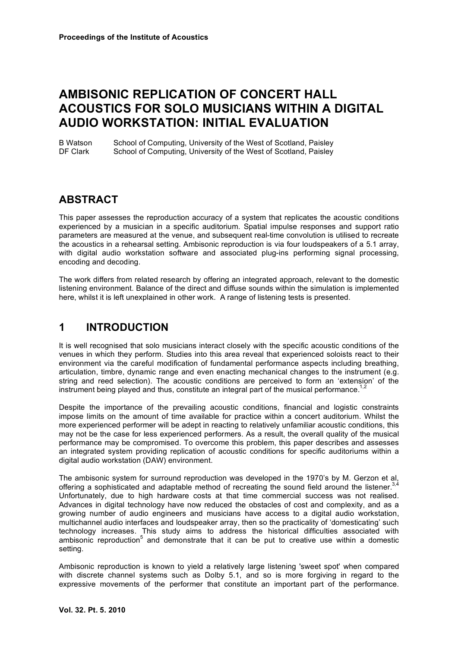# **AMBISONIC REPLICATION OF CONCERT HALL ACOUSTICS FOR SOLO MUSICIANS WITHIN A DIGITAL AUDIO WORKSTATION: INITIAL EVALUATION**

B Watson School of Computing, University of the West of Scotland, Paisley DF Clark School of Computing, University of the West of Scotland, Paisley

# **ABSTRACT**

This paper assesses the reproduction accuracy of a system that replicates the acoustic conditions experienced by a musician in a specific auditorium. Spatial impulse responses and support ratio parameters are measured at the venue, and subsequent real-time convolution is utilised to recreate the acoustics in a rehearsal setting. Ambisonic reproduction is via four loudspeakers of a 5.1 array, with digital audio workstation software and associated plug-ins performing signal processing, encoding and decoding.

The work differs from related research by offering an integrated approach, relevant to the domestic listening environment. Balance of the direct and diffuse sounds within the simulation is implemented here, whilst it is left unexplained in other work. A range of listening tests is presented.

### **1 INTRODUCTION**

It is well recognised that solo musicians interact closely with the specific acoustic conditions of the venues in which they perform. Studies into this area reveal that experienced soloists react to their environment via the careful modification of fundamental performance aspects including breathing, articulation, timbre, dynamic range and even enacting mechanical changes to the instrument (e.g. string and reed selection). The acoustic conditions are perceived to form an 'extension' of the instrument being played and thus, constitute an integral part of the musical performance.<sup>1</sup>

Despite the importance of the prevailing acoustic conditions, financial and logistic constraints impose limits on the amount of time available for practice within a concert auditorium. Whilst the more experienced performer will be adept in reacting to relatively unfamiliar acoustic conditions, this may not be the case for less experienced performers. As a result, the overall quality of the musical performance may be compromised. To overcome this problem, this paper describes and assesses an integrated system providing replication of acoustic conditions for specific auditoriums within a digital audio workstation (DAW) environment.

The ambisonic system for surround reproduction was developed in the 1970's by M. Gerzon et al, offering a sophisticated and adaptable method of recreating the sound field around the listener.  $3,4$ Unfortunately, due to high hardware costs at that time commercial success was not realised. Advances in digital technology have now reduced the obstacles of cost and complexity, and as a growing number of audio engineers and musicians have access to a digital audio workstation, multichannel audio interfaces and loudspeaker array, then so the practicality of 'domesticating' such technology increases. This study aims to address the historical difficulties associated with ambisonic reproduction<sup>5</sup> and demonstrate that it can be put to creative use within a domestic setting.

Ambisonic reproduction is known to yield a relatively large listening 'sweet spot' when compared with discrete channel systems such as Dolby 5.1, and so is more forgiving in regard to the expressive movements of the performer that constitute an important part of the performance.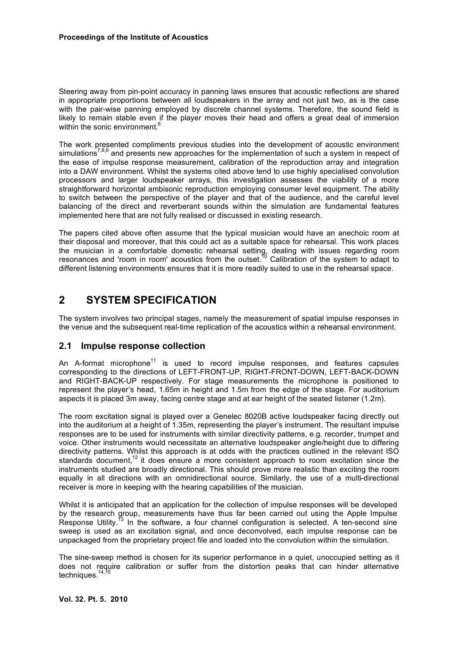Steering away from pin-point accuracy in panning laws ensures that acoustic reflections are shared in appropriate proportions between all loudspeakers in the array and not just two, as is the case with the pair-wise panning employed by discrete channel systems. Therefore, the sound field is likely to remain stable even if the player moves their head and offers a great deal of immersion within the sonic environment.

The work presented compliments previous studies into the development of acoustic environment simulations<sup>7,8,9</sup> and presents new approaches for the implementation of such a system in respect of the ease of impulse response measurement, calibration of the reproduction array and integration into a DAW environment. Whilst the systems cited above tend to use highly specialised convolution processors and larger loudspeaker arrays, this investigation assesses the viability of a more straightforward horizontal ambisonic reproduction employing consumer level equipment. The ability to switch between the perspective of the player and that of the audience, and the careful level balancing of the direct and reverberant sounds within the simulation are fundamental features implemented here that are not fully realised or discussed in existing research.

The papers cited above often assume that the typical musician would have an anechoic room at their disposal and moreover, that this could act as a suitable space for rehearsal. This work places the musician in a comfortable domestic rehearsal setting, dealing with issues regarding room resonances and 'room in room' acoustics from the outset.<sup>10</sup> Calibration of the system to adapt to different listening environments ensures that it is more readily suited to use in the rehearsal space.

### **2 SYSTEM SPECIFICATION**

The system involves two principal stages, namely the measurement of spatial impulse responses in the venue and the subsequent real-time replication of the acoustics within a rehearsal environment.

#### **2.1 Impulse response collection**

An A-format microphone<sup>11</sup> is used to record impulse responses, and features capsules corresponding to the directions of LEFT-FRONT-UP, RIGHT-FRONT-DOWN, LEFT-BACK-DOWN and RIGHT-BACK-UP respectively. For stage measurements the microphone is positioned to represent the player's head, 1.65m in height and 1.5m from the edge of the stage. For auditorium aspects it is placed 3m away, facing centre stage and at ear height of the seated listener (1.2m).

The room excitation signal is played over a Genelec 8020B active loudspeaker facing directly out into the auditorium at a height of 1.35m, representing the player's instrument. The resultant impulse responses are to be used for instruments with similar directivity patterns, e.g. recorder, trumpet and voice. Other instruments would necessitate an alternative loudspeaker angle/height due to differing directivity patterns. Whilst this approach is at odds with the practices outlined in the relevant ISO standards document,<sup>12</sup> it does ensure a more consistent approach to room excitation since the instruments studied are broadly directional. This should prove more realistic than exciting the room equally in all directions with an omnidirectional source. Similarly, the use of a multi-directional receiver is more in keeping with the hearing capabilities of the musician.

Whilst it is anticipated that an application for the collection of impulse responses will be developed by the research group, measurements have thus far been carried out using the Apple Impulse Response Utility.<sup>13</sup> In the software, a four channel configuration is selected. A ten-second sine sweep is used as an excitation signal, and once deconvolved, each impulse response can be unpackaged from the proprietary project file and loaded into the convolution within the simulation.

The sine-sweep method is chosen for its superior performance in a quiet, unoccupied setting as it does not require calibration or suffer from the distortion peaks that can hinder alternative techniques.<sup>14,15</sup>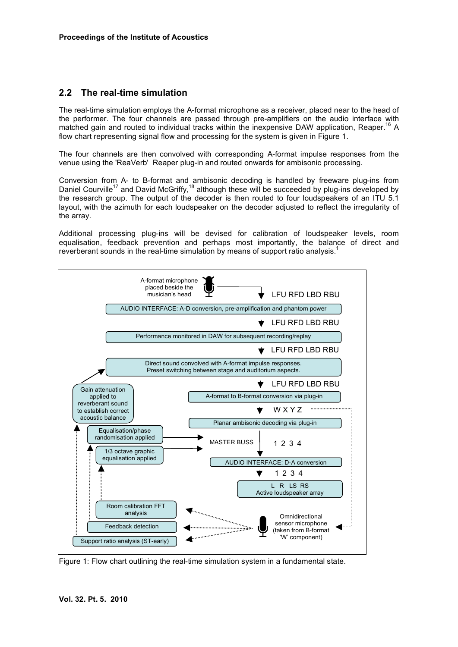#### **2.2 The real-time simulation**

The real-time simulation employs the A-format microphone as a receiver, placed near to the head of the performer. The four channels are passed through pre-amplifiers on the audio interface with matched gain and routed to individual tracks within the inexpensive DAW application, Reaper.<sup>16</sup> A flow chart representing signal flow and processing for the system is given in Figure 1.

The four channels are then convolved with corresponding A-format impulse responses from the venue using the 'ReaVerb' Reaper plug-in and routed onwards for ambisonic processing.

Conversion from A- to B-format and ambisonic decoding is handled by freeware plug-ins from Daniel Courville<sup>17</sup> and David McGriffy,<sup>18</sup> although these will be succeeded by plug-ins developed by the research group. The output of the decoder is then routed to four loudspeakers of an ITU 5.1 layout, with the azimuth for each loudspeaker on the decoder adjusted to reflect the irregularity of the array.

Additional processing plug-ins will be devised for calibration of loudspeaker levels, room equalisation, feedback prevention and perhaps most importantly, the balance of direct and reverberant sounds in the real-time simulation by means of support ratio analysis.<sup>1</sup>



Figure 1: Flow chart outlining the real-time simulation system in a fundamental state.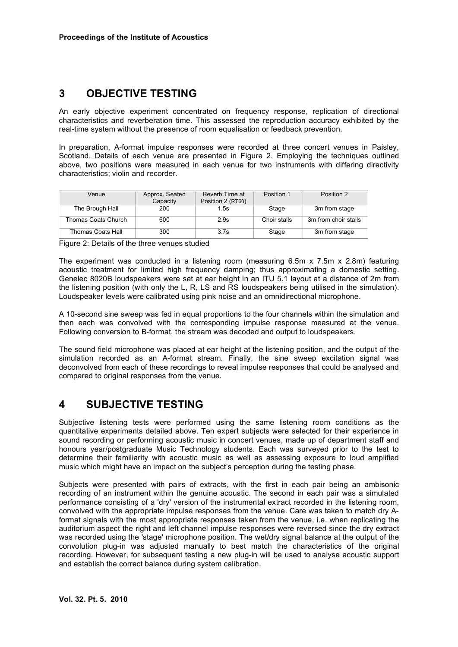### **3 OBJECTIVE TESTING**

An early objective experiment concentrated on frequency response, replication of directional characteristics and reverberation time. This assessed the reproduction accuracy exhibited by the real-time system without the presence of room equalisation or feedback prevention.

In preparation, A-format impulse responses were recorded at three concert venues in Paisley, Scotland. Details of each venue are presented in Figure 2. Employing the techniques outlined above, two positions were measured in each venue for two instruments with differing directivity characteristics; violin and recorder.

| Venue               | Approx. Seated<br>Capacity | Reverb Time at<br>Position 2 (RT60) | Position 1   | Position 2           |
|---------------------|----------------------------|-------------------------------------|--------------|----------------------|
| The Brough Hall     | 200                        | 1.5s                                | Stage        | 3m from stage        |
| Thomas Coats Church | 600                        | 2.9s                                | Choir stalls | 3m from choir stalls |
| Thomas Coats Hall   | 300                        | 3.7s                                | Stage        | 3m from stage        |

Figure 2: Details of the three venues studied

The experiment was conducted in a listening room (measuring 6.5m x 7.5m x 2.8m) featuring acoustic treatment for limited high frequency damping; thus approximating a domestic setting. Genelec 8020B loudspeakers were set at ear height in an ITU 5.1 layout at a distance of 2m from the listening position (with only the L, R, LS and RS loudspeakers being utilised in the simulation). Loudspeaker levels were calibrated using pink noise and an omnidirectional microphone.

A 10-second sine sweep was fed in equal proportions to the four channels within the simulation and then each was convolved with the corresponding impulse response measured at the venue. Following conversion to B-format, the stream was decoded and output to loudspeakers.

The sound field microphone was placed at ear height at the listening position, and the output of the simulation recorded as an A-format stream. Finally, the sine sweep excitation signal was deconvolved from each of these recordings to reveal impulse responses that could be analysed and compared to original responses from the venue.

### **4 SUBJECTIVE TESTING**

Subjective listening tests were performed using the same listening room conditions as the quantitative experiments detailed above. Ten expert subjects were selected for their experience in sound recording or performing acoustic music in concert venues, made up of department staff and honours year/postgraduate Music Technology students. Each was surveyed prior to the test to determine their familiarity with acoustic music as well as assessing exposure to loud amplified music which might have an impact on the subject's perception during the testing phase.

Subjects were presented with pairs of extracts, with the first in each pair being an ambisonic recording of an instrument within the genuine acoustic. The second in each pair was a simulated performance consisting of a 'dry' version of the instrumental extract recorded in the listening room, convolved with the appropriate impulse responses from the venue. Care was taken to match dry Aformat signals with the most appropriate responses taken from the venue, i.e. when replicating the auditorium aspect the right and left channel impulse responses were reversed since the dry extract was recorded using the 'stage' microphone position. The wet/dry signal balance at the output of the convolution plug-in was adjusted manually to best match the characteristics of the original recording. However, for subsequent testing a new plug-in will be used to analyse acoustic support and establish the correct balance during system calibration.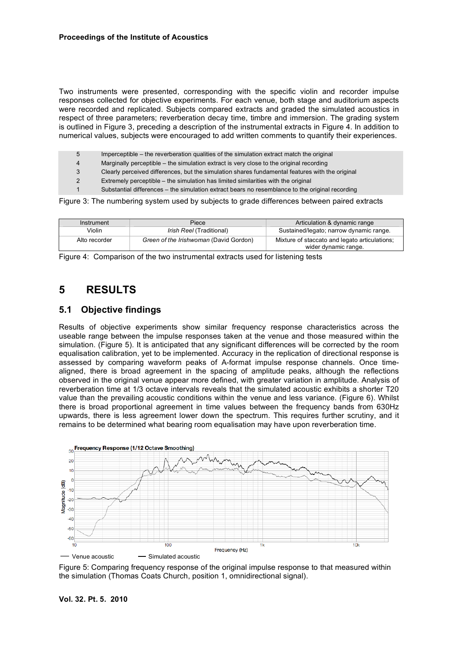Two instruments were presented, corresponding with the specific violin and recorder impulse responses collected for objective experiments. For each venue, both stage and auditorium aspects were recorded and replicated. Subjects compared extracts and graded the simulated acoustics in respect of three parameters; reverberation decay time, timbre and immersion. The grading system is outlined in Figure 3, preceding a description of the instrumental extracts in Figure 4. In addition to numerical values, subjects were encouraged to add written comments to quantify their experiences.

- 5 Imperceptible the reverberation qualities of the simulation extract match the original
- 4 Marginally perceptible the simulation extract is very close to the original recording
- 3 Clearly perceived differences, but the simulation shares fundamental features with the original
- 2 Extremely perceptible the simulation has limited similarities with the original
- Substantial differences the simulation extract bears no resemblance to the original recording

Figure 3: The numbering system used by subjects to grade differences between paired extracts

| Instrument    | Piece                                  | Articulation & dynamic range                                          |  |
|---------------|----------------------------------------|-----------------------------------------------------------------------|--|
| Violin        | <i>Irish Reel</i> (Traditional)        | Sustained/legato; narrow dynamic range.                               |  |
| Alto recorder | Green of the Irishwoman (David Gordon) | Mixture of staccato and legato articulations:<br>wider dynamic range. |  |

Figure 4: Comparison of the two instrumental extracts used for listening tests

# **5 RESULTS**

#### **5.1 Objective findings**

Results of objective experiments show similar frequency response characteristics across the useable range between the impulse responses taken at the venue and those measured within the simulation. (Figure 5). It is anticipated that any significant differences will be corrected by the room equalisation calibration, yet to be implemented. Accuracy in the replication of directional response is assessed by comparing waveform peaks of A-format impulse response channels. Once timealigned, there is broad agreement in the spacing of amplitude peaks, although the reflections observed in the original venue appear more defined, with greater variation in amplitude. Analysis of reverberation time at 1/3 octave intervals reveals that the simulated acoustic exhibits a shorter T20 value than the prevailing acoustic conditions within the venue and less variance. (Figure 6). Whilst there is broad proportional agreement in time values between the frequency bands from 630Hz upwards, there is less agreement lower down the spectrum. This requires further scrutiny, and it remains to be determined what bearing room equalisation may have upon reverberation time.



Figure 5: Comparing frequency response of the original impulse response to that measured within the simulation (Thomas Coats Church, position 1, omnidirectional signal).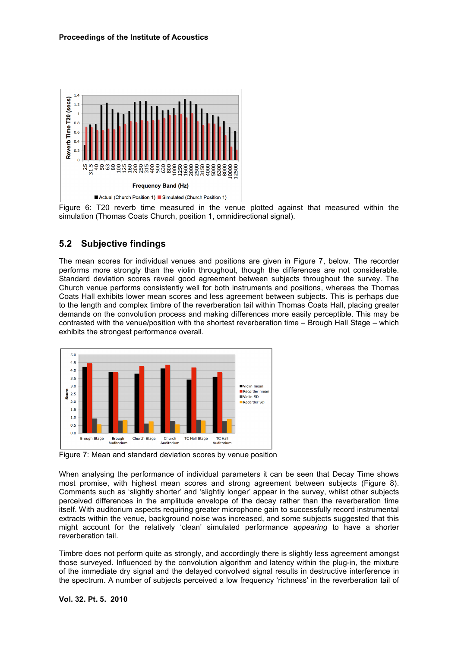

Figure 6: T20 reverb time measured in the venue plotted against that measured within the simulation (Thomas Coats Church, position 1, omnidirectional signal).

#### **5.2 Subjective findings**

The mean scores for individual venues and positions are given in Figure 7, below. The recorder performs more strongly than the violin throughout, though the differences are not considerable. Standard deviation scores reveal good agreement between subjects throughout the survey. The Church venue performs consistently well for both instruments and positions, whereas the Thomas Coats Hall exhibits lower mean scores and less agreement between subjects. This is perhaps due to the length and complex timbre of the reverberation tail within Thomas Coats Hall, placing greater demands on the convolution process and making differences more easily perceptible. This may be contrasted with the venue/position with the shortest reverberation time – Brough Hall Stage – which exhibits the strongest performance overall.



Figure 7: Mean and standard deviation scores by venue position

When analysing the performance of individual parameters it can be seen that Decay Time shows most promise, with highest mean scores and strong agreement between subjects (Figure 8). Comments such as 'slightly shorter' and 'slightly longer' appear in the survey, whilst other subjects perceived differences in the amplitude envelope of the decay rather than the reverberation time itself. With auditorium aspects requiring greater microphone gain to successfully record instrumental extracts within the venue, background noise was increased, and some subjects suggested that this might account for the relatively 'clean' simulated performance *appearing* to have a shorter reverberation tail.

Timbre does not perform quite as strongly, and accordingly there is slightly less agreement amongst those surveyed. Influenced by the convolution algorithm and latency within the plug-in, the mixture of the immediate dry signal and the delayed convolved signal results in destructive interference in the spectrum. A number of subjects perceived a low frequency 'richness' in the reverberation tail of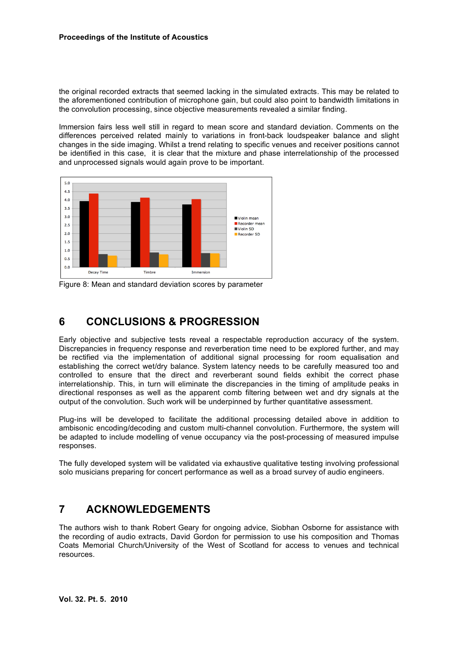the original recorded extracts that seemed lacking in the simulated extracts. This may be related to the aforementioned contribution of microphone gain, but could also point to bandwidth limitations in the convolution processing, since objective measurements revealed a similar finding.

Immersion fairs less well still in regard to mean score and standard deviation. Comments on the differences perceived related mainly to variations in front-back loudspeaker balance and slight changes in the side imaging. Whilst a trend relating to specific venues and receiver positions cannot be identified in this case, it is clear that the mixture and phase interrelationship of the processed and unprocessed signals would again prove to be important.



Figure 8: Mean and standard deviation scores by parameter

### **6 CONCLUSIONS & PROGRESSION**

Early objective and subjective tests reveal a respectable reproduction accuracy of the system. Discrepancies in frequency response and reverberation time need to be explored further, and may be rectified via the implementation of additional signal processing for room equalisation and establishing the correct wet/dry balance. System latency needs to be carefully measured too and controlled to ensure that the direct and reverberant sound fields exhibit the correct phase interrelationship. This, in turn will eliminate the discrepancies in the timing of amplitude peaks in directional responses as well as the apparent comb filtering between wet and dry signals at the output of the convolution. Such work will be underpinned by further quantitative assessment.

Plug-ins will be developed to facilitate the additional processing detailed above in addition to ambisonic encoding/decoding and custom multi-channel convolution. Furthermore, the system will be adapted to include modelling of venue occupancy via the post-processing of measured impulse responses.

The fully developed system will be validated via exhaustive qualitative testing involving professional solo musicians preparing for concert performance as well as a broad survey of audio engineers.

#### **7 ACKNOWLEDGEMENTS**

The authors wish to thank Robert Geary for ongoing advice, Siobhan Osborne for assistance with the recording of audio extracts, David Gordon for permission to use his composition and Thomas Coats Memorial Church/University of the West of Scotland for access to venues and technical resources.